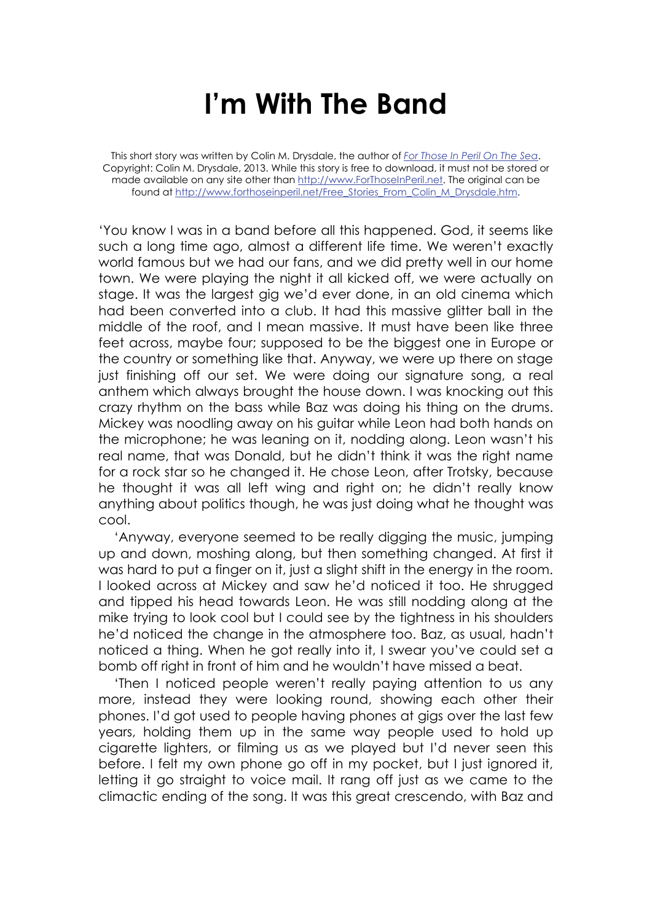## **I'm With The Band**

This short story was written by Colin M. Drysdale, the author of *For Those In Peril On The Sea*. Copyright: Colin M. Drysdale, 2013. While this story is free to download, it must not be stored or made available on any site other than http://www.ForThoseInPeril.net. The original can be found at http://www.forthoseinperil.net/Free\_Stories\_From\_Colin\_M\_Drysdale.htm.

'You know I was in a band before all this happened. God, it seems like such a long time ago, almost a different life time. We weren't exactly world famous but we had our fans, and we did pretty well in our home town. We were playing the night it all kicked off, we were actually on stage. It was the largest gig we'd ever done, in an old cinema which had been converted into a club. It had this massive glitter ball in the middle of the roof, and I mean massive. It must have been like three feet across, maybe four; supposed to be the biggest one in Europe or the country or something like that. Anyway, we were up there on stage just finishing off our set. We were doing our signature song, a real anthem which always brought the house down. I was knocking out this crazy rhythm on the bass while Baz was doing his thing on the drums. Mickey was noodling away on his guitar while Leon had both hands on the microphone; he was leaning on it, nodding along. Leon wasn't his real name, that was Donald, but he didn't think it was the right name for a rock star so he changed it. He chose Leon, after Trotsky, because he thought it was all left wing and right on; he didn't really know anything about politics though, he was just doing what he thought was cool.

'Anyway, everyone seemed to be really digging the music, jumping up and down, moshing along, but then something changed. At first it was hard to put a finger on it, just a slight shift in the energy in the room. I looked across at Mickey and saw he'd noticed it too. He shrugged and tipped his head towards Leon. He was still nodding along at the mike trying to look cool but I could see by the tightness in his shoulders he'd noticed the change in the atmosphere too. Baz, as usual, hadn't noticed a thing. When he got really into it, I swear you've could set a bomb off right in front of him and he wouldn't have missed a beat.

'Then I noticed people weren't really paying attention to us any more, instead they were looking round, showing each other their phones. I'd got used to people having phones at gigs over the last few years, holding them up in the same way people used to hold up cigarette lighters, or filming us as we played but I'd never seen this before. I felt my own phone go off in my pocket, but I just ignored it, letting it go straight to voice mail. It rang off just as we came to the climactic ending of the song. It was this great crescendo, with Baz and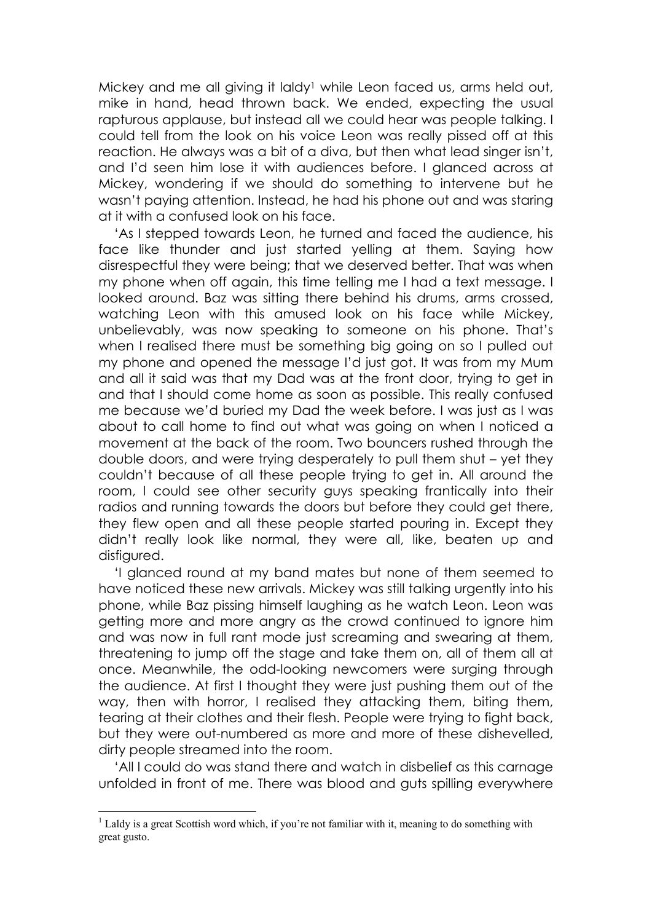Mickey and me all giving it laldy<sup>1</sup> while Leon faced us, arms held out, mike in hand, head thrown back. We ended, expecting the usual rapturous applause, but instead all we could hear was people talking. I could tell from the look on his voice Leon was really pissed off at this reaction. He always was a bit of a diva, but then what lead singer isn't, and I'd seen him lose it with audiences before. I glanced across at Mickey, wondering if we should do something to intervene but he wasn't paying attention. Instead, he had his phone out and was staring at it with a confused look on his face.

'As I stepped towards Leon, he turned and faced the audience, his face like thunder and just started yelling at them. Saying how disrespectful they were being; that we deserved better. That was when my phone when off again, this time telling me I had a text message. I looked around. Baz was sitting there behind his drums, arms crossed, watching Leon with this amused look on his face while Mickey, unbelievably, was now speaking to someone on his phone. That's when I realised there must be something big going on so I pulled out my phone and opened the message I'd just got. It was from my Mum and all it said was that my Dad was at the front door, trying to get in and that I should come home as soon as possible. This really confused me because we'd buried my Dad the week before. I was just as I was about to call home to find out what was going on when I noticed a movement at the back of the room. Two bouncers rushed through the double doors, and were trying desperately to pull them shut – yet they couldn't because of all these people trying to get in. All around the room, I could see other security guys speaking frantically into their radios and running towards the doors but before they could get there, they flew open and all these people started pouring in. Except they didn't really look like normal, they were all, like, beaten up and disfigured.

'I glanced round at my band mates but none of them seemed to have noticed these new arrivals. Mickey was still talking urgently into his phone, while Baz pissing himself laughing as he watch Leon. Leon was getting more and more angry as the crowd continued to ignore him and was now in full rant mode just screaming and swearing at them, threatening to jump off the stage and take them on, all of them all at once. Meanwhile, the odd-looking newcomers were surging through the audience. At first I thought they were just pushing them out of the way, then with horror, I realised they attacking them, biting them, tearing at their clothes and their flesh. People were trying to fight back, but they were out-numbered as more and more of these dishevelled, dirty people streamed into the room.

'All I could do was stand there and watch in disbelief as this carnage unfolded in front of me. There was blood and guts spilling everywhere

<u>.</u>

<sup>&</sup>lt;sup>1</sup> Laldy is a great Scottish word which, if you're not familiar with it, meaning to do something with great gusto.